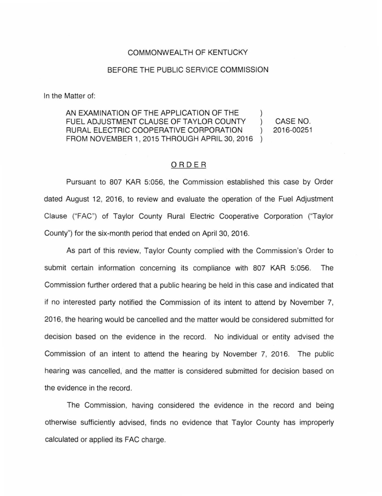## COMMONWEALTH OF KENTUCKY

## BEFORE THE PUBLIC SERVICE COMMISSION

In the Matter of:

AN EXAMINATION OF THE APPLICATION OF THE FUEL ADJUSTMENT CLAUSE OF TAYLOR COUNTY CASE NO.  $\mathcal{L}$ RURAL ELECTRIC COOPERATIVE CORPORATION 2016-00251  $\mathcal{L}$ FROM NOVEMBER 1, 2015 THROUGH APRIL 30, 2016

## ORDER

Pursuant to 807 KAR 5:056, the Commission established this case by Order dated August 12, 2016, to review and evaluate the operation of the Fuel Adjustment Clause ("FAC") of Taylor County Rural Electric Cooperative Corporation ("Taylor County") for the six-month period that ended on April 30, 2016.

As part of this review, Taylor County complied with the Commission's Order to submit certain information concerning its compliance with 807 KAR 5:056. The Commission further ordered that a public hearing be held in this case and indicated that if no interested party notified the Commission of its intent to attend by November 7, 2016, the hearing would be cancelled and the matter would be considered submitted for decision based on the evidence in the record. No individual or entity advised the Commission of an intent to attend the hearing by November 7, 2016. The public hearing was cancelled, and the matter is considered submitted for decision based on the evidence in the record.

The Commission, having considered the evidence in the record and being otherwise sufficiently advised, finds no evidence that Taylor County has improperly calculated or applied its FAC charge.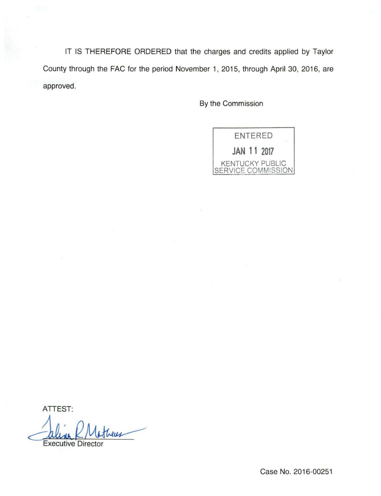IT IS THEREFORE ORDERED that the charges and credits applied by Taylor County through the FAC for the period November 1, 2015, through April 30, 2016, are approved.

By the Commission



ATTEST:

<u>Caline K/Victure</u>

Case No. 2016-00251